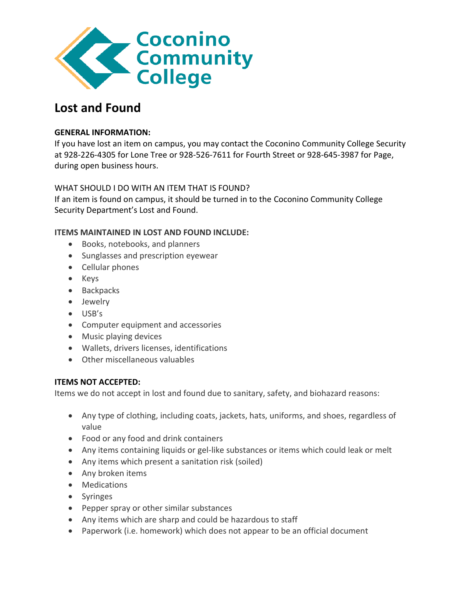

# **Lost and Found**

## **GENERAL INFORMATION:**

If you have lost an item on campus, you may contact the Coconino Community College Security at 928-226-4305 for Lone Tree or 928-526-7611 for Fourth Street or 928-645-3987 for Page, during open business hours.

## WHAT SHOULD I DO WITH AN ITEM THAT IS FOUND?

If an item is found on campus, it should be turned in to the Coconino Community College Security Department's Lost and Found.

## **ITEMS MAINTAINED IN LOST AND FOUND INCLUDE:**

- Books, notebooks, and planners
- Sunglasses and prescription eyewear
- Cellular phones
- Keys
- Backpacks
- Jewelry
- USB's
- Computer equipment and accessories
- Music playing devices
- Wallets, drivers licenses, identifications
- Other miscellaneous valuables

### **ITEMS NOT ACCEPTED:**

Items we do not accept in lost and found due to sanitary, safety, and biohazard reasons:

- Any type of clothing, including coats, jackets, hats, uniforms, and shoes, regardless of value
- Food or any food and drink containers
- Any items containing liquids or gel-like substances or items which could leak or melt
- Any items which present a sanitation risk (soiled)
- Any broken items
- Medications
- Syringes
- Pepper spray or other similar substances
- Any items which are sharp and could be hazardous to staff
- Paperwork (i.e. homework) which does not appear to be an official document